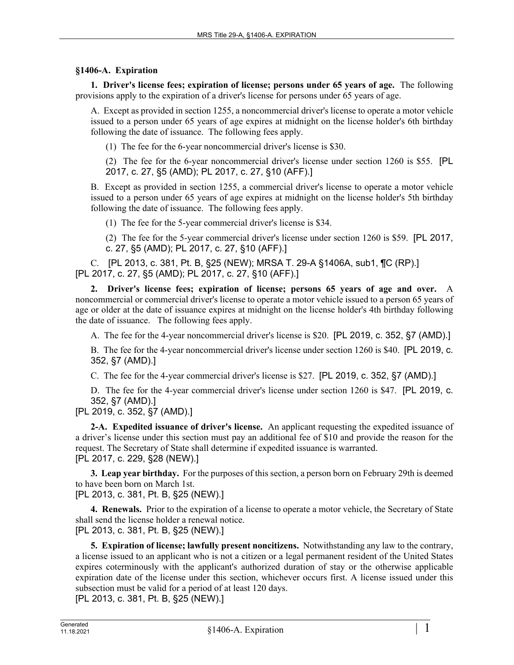## **§1406-A. Expiration**

**1. Driver's license fees; expiration of license; persons under 65 years of age.** The following provisions apply to the expiration of a driver's license for persons under 65 years of age.

A. Except as provided in section 1255, a noncommercial driver's license to operate a motor vehicle issued to a person under 65 years of age expires at midnight on the license holder's 6th birthday following the date of issuance. The following fees apply.

(1) The fee for the 6-year noncommercial driver's license is \$30.

(2) The fee for the 6-year noncommercial driver's license under section 1260 is \$55. [PL 2017, c. 27, §5 (AMD); PL 2017, c. 27, §10 (AFF).]

B. Except as provided in section 1255, a commercial driver's license to operate a motor vehicle issued to a person under 65 years of age expires at midnight on the license holder's 5th birthday following the date of issuance. The following fees apply.

(1) The fee for the 5-year commercial driver's license is \$34.

(2) The fee for the 5-year commercial driver's license under section 1260 is \$59. [PL 2017, c. 27, §5 (AMD); PL 2017, c. 27, §10 (AFF).]

C. [PL 2013, c. 381, Pt. B, §25 (NEW); MRSA T. 29-A §1406A, sub1, ¶C (RP).] [PL 2017, c. 27, §5 (AMD); PL 2017, c. 27, §10 (AFF).]

**2. Driver's license fees; expiration of license; persons 65 years of age and over.** A noncommercial or commercial driver's license to operate a motor vehicle issued to a person 65 years of age or older at the date of issuance expires at midnight on the license holder's 4th birthday following the date of issuance. The following fees apply.

A. The fee for the 4-year noncommercial driver's license is \$20. [PL 2019, c. 352, §7 (AMD).]

B. The fee for the 4-year noncommercial driver's license under section 1260 is \$40. [PL 2019, c. 352, §7 (AMD).]

C. The fee for the 4-year commercial driver's license is \$27. [PL 2019, c. 352, §7 (AMD).]

D. The fee for the 4-year commercial driver's license under section 1260 is \$47. [PL 2019, c. 352, §7 (AMD).]

[PL 2019, c. 352, §7 (AMD).]

**2-A. Expedited issuance of driver's license.** An applicant requesting the expedited issuance of a driver's license under this section must pay an additional fee of \$10 and provide the reason for the request. The Secretary of State shall determine if expedited issuance is warranted. [PL 2017, c. 229, §28 (NEW).]

**3. Leap year birthday.** For the purposes of this section, a person born on February 29th is deemed to have been born on March 1st.

[PL 2013, c. 381, Pt. B, §25 (NEW).]

**4. Renewals.** Prior to the expiration of a license to operate a motor vehicle, the Secretary of State shall send the license holder a renewal notice.

[PL 2013, c. 381, Pt. B, §25 (NEW).]

**5. Expiration of license; lawfully present noncitizens.** Notwithstanding any law to the contrary, a license issued to an applicant who is not a citizen or a legal permanent resident of the United States expires coterminously with the applicant's authorized duration of stay or the otherwise applicable expiration date of the license under this section, whichever occurs first. A license issued under this subsection must be valid for a period of at least 120 days.

[PL 2013, c. 381, Pt. B, §25 (NEW).]